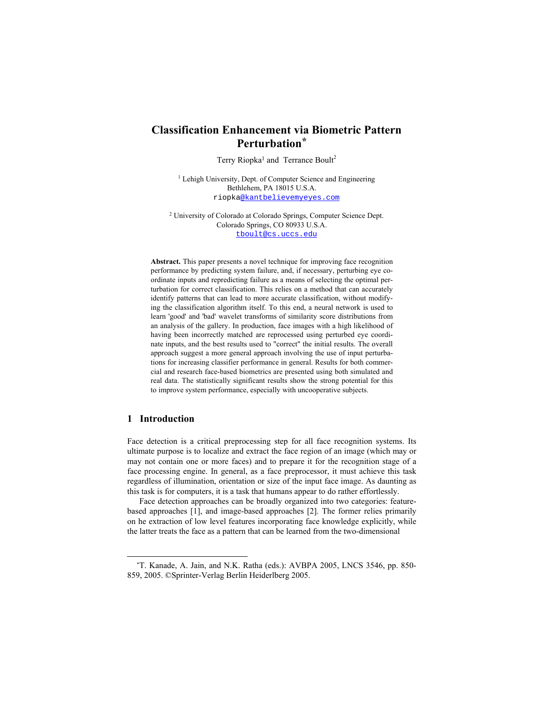# **Classification Enhancement via Biometric Pattern Perturbation\***

Terry Riopka<sup>1</sup> and Terrance Boult<sup>2</sup>

<sup>1</sup> Lehigh University, Dept. of Computer Science and Engineering Bethlehem, PA 18015 U.S.A. riopka@kantbelievemyeyes.com

2 University of Colorado at Colorado Springs, Computer Science Dept. Colorado Springs, CO 80933 U.S.A. tboult@cs.uccs.edu

**Abstract.** This paper presents a novel technique for improving face recognition performance by predicting system failure, and, if necessary, perturbing eye coordinate inputs and repredicting failure as a means of selecting the optimal perturbation for correct classification. This relies on a method that can accurately identify patterns that can lead to more accurate classification, without modifying the classification algorithm itself. To this end, a neural network is used to learn 'good' and 'bad' wavelet transforms of similarity score distributions from an analysis of the gallery. In production, face images with a high likelihood of having been incorrectly matched are reprocessed using perturbed eye coordinate inputs, and the best results used to "correct" the initial results. The overall approach suggest a more general approach involving the use of input perturbations for increasing classifier performance in general. Results for both commercial and research face-based biometrics are presented using both simulated and real data. The statistically significant results show the strong potential for this to improve system performance, especially with uncooperative subjects.

## **1 Introduction**

Face detection is a critical preprocessing step for all face recognition systems. Its ultimate purpose is to localize and extract the face region of an image (which may or may not contain one or more faces) and to prepare it for the recognition stage of a face processing engine. In general, as a face preprocessor, it must achieve this task regardless of illumination, orientation or size of the input face image. As daunting as this task is for computers, it is a task that humans appear to do rather effortlessly.

Face detection approaches can be broadly organized into two categories: featurebased approaches [1], and image-based approaches [2]. The former relies primarily on he extraction of low level features incorporating face knowledge explicitly, while the latter treats the face as a pattern that can be learned from the two-dimensional

 <sup>\*</sup>T. Kanade, A. Jain, and N.K. Ratha (eds.): AVBPA 2005, LNCS 3546, pp. 850- 859, 2005. ©Sprinter-Verlag Berlin Heiderlberg 2005.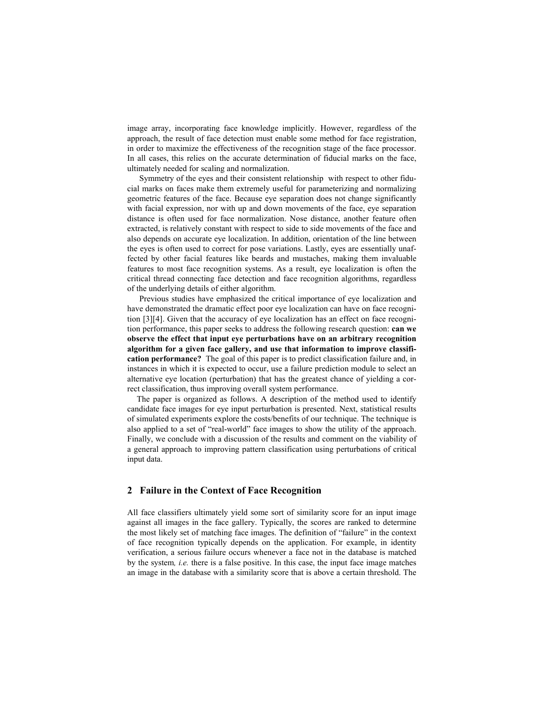image array, incorporating face knowledge implicitly. However, regardless of the approach, the result of face detection must enable some method for face registration, in order to maximize the effectiveness of the recognition stage of the face processor. In all cases, this relies on the accurate determination of fiducial marks on the face, ultimately needed for scaling and normalization.

Symmetry of the eyes and their consistent relationship with respect to other fiducial marks on faces make them extremely useful for parameterizing and normalizing geometric features of the face. Because eye separation does not change significantly with facial expression, nor with up and down movements of the face, eve separation distance is often used for face normalization. Nose distance, another feature often extracted, is relatively constant with respect to side to side movements of the face and also depends on accurate eye localization. In addition, orientation of the line between the eyes is often used to correct for pose variations. Lastly, eyes are essentially unaffected by other facial features like beards and mustaches, making them invaluable features to most face recognition systems. As a result, eye localization is often the critical thread connecting face detection and face recognition algorithms, regardless of the underlying details of either algorithm.

Previous studies have emphasized the critical importance of eye localization and have demonstrated the dramatic effect poor eye localization can have on face recognition [3][4]. Given that the accuracy of eye localization has an effect on face recognition performance, this paper seeks to address the following research question: **can we observe the effect that input eye perturbations have on an arbitrary recognition algorithm for a given face gallery, and use that information to improve classification performance?** The goal of this paper is to predict classification failure and, in instances in which it is expected to occur, use a failure prediction module to select an alternative eye location (perturbation) that has the greatest chance of yielding a correct classification, thus improving overall system performance.

The paper is organized as follows. A description of the method used to identify candidate face images for eye input perturbation is presented. Next, statistical results of simulated experiments explore the costs/benefits of our technique. The technique is also applied to a set of "real-world" face images to show the utility of the approach. Finally, we conclude with a discussion of the results and comment on the viability of a general approach to improving pattern classification using perturbations of critical input data.

#### **2 Failure in the Context of Face Recognition**

All face classifiers ultimately yield some sort of similarity score for an input image against all images in the face gallery. Typically, the scores are ranked to determine the most likely set of matching face images. The definition of "failure" in the context of face recognition typically depends on the application. For example, in identity verification, a serious failure occurs whenever a face not in the database is matched by the system*, i.e.* there is a false positive. In this case, the input face image matches an image in the database with a similarity score that is above a certain threshold. The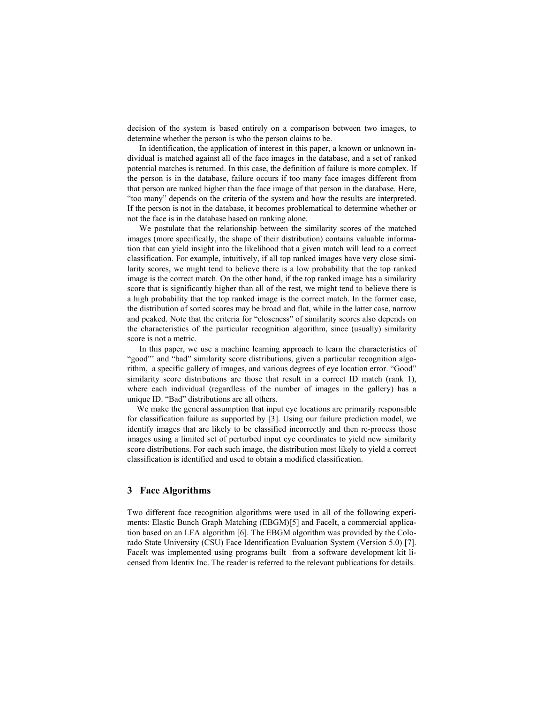decision of the system is based entirely on a comparison between two images, to determine whether the person is who the person claims to be.

In identification, the application of interest in this paper, a known or unknown individual is matched against all of the face images in the database, and a set of ranked potential matches is returned. In this case, the definition of failure is more complex. If the person is in the database, failure occurs if too many face images different from that person are ranked higher than the face image of that person in the database. Here, "too many" depends on the criteria of the system and how the results are interpreted. If the person is not in the database, it becomes problematical to determine whether or not the face is in the database based on ranking alone.

We postulate that the relationship between the similarity scores of the matched images (more specifically, the shape of their distribution) contains valuable information that can yield insight into the likelihood that a given match will lead to a correct classification. For example, intuitively, if all top ranked images have very close similarity scores, we might tend to believe there is a low probability that the top ranked image is the correct match. On the other hand, if the top ranked image has a similarity score that is significantly higher than all of the rest, we might tend to believe there is a high probability that the top ranked image is the correct match. In the former case, the distribution of sorted scores may be broad and flat, while in the latter case, narrow and peaked. Note that the criteria for "closeness" of similarity scores also depends on the characteristics of the particular recognition algorithm, since (usually) similarity score is not a metric.

In this paper, we use a machine learning approach to learn the characteristics of "good" and "bad" similarity score distributions, given a particular recognition algorithm, a specific gallery of images, and various degrees of eye location error. "Good" similarity score distributions are those that result in a correct ID match (rank 1), where each individual (regardless of the number of images in the gallery) has a unique ID. "Bad" distributions are all others.

We make the general assumption that input eye locations are primarily responsible for classification failure as supported by [3]. Using our failure prediction model, we identify images that are likely to be classified incorrectly and then re-process those images using a limited set of perturbed input eye coordinates to yield new similarity score distributions. For each such image, the distribution most likely to yield a correct classification is identified and used to obtain a modified classification.

## **3 Face Algorithms**

Two different face recognition algorithms were used in all of the following experiments: Elastic Bunch Graph Matching (EBGM)[5] and FaceIt, a commercial application based on an LFA algorithm [6]. The EBGM algorithm was provided by the Colorado State University (CSU) Face Identification Evaluation System (Version 5.0) [7]. FaceIt was implemented using programs built from a software development kit licensed from Identix Inc. The reader is referred to the relevant publications for details.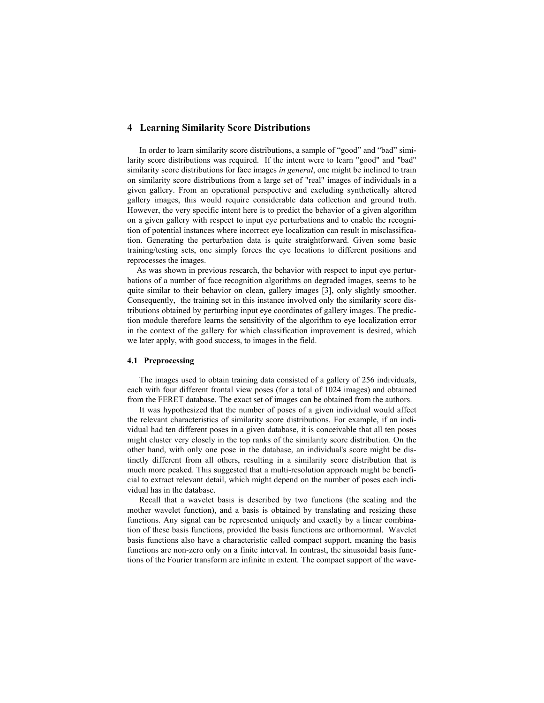## **4 Learning Similarity Score Distributions**

In order to learn similarity score distributions, a sample of "good" and "bad" similarity score distributions was required. If the intent were to learn "good" and "bad" similarity score distributions for face images *in general*, one might be inclined to train on similarity score distributions from a large set of "real" images of individuals in a given gallery. From an operational perspective and excluding synthetically altered gallery images, this would require considerable data collection and ground truth. However, the very specific intent here is to predict the behavior of a given algorithm on a given gallery with respect to input eye perturbations and to enable the recognition of potential instances where incorrect eye localization can result in misclassification. Generating the perturbation data is quite straightforward. Given some basic training/testing sets, one simply forces the eye locations to different positions and reprocesses the images.

As was shown in previous research, the behavior with respect to input eye perturbations of a number of face recognition algorithms on degraded images, seems to be quite similar to their behavior on clean, gallery images [3], only slightly smoother. Consequently, the training set in this instance involved only the similarity score distributions obtained by perturbing input eye coordinates of gallery images. The prediction module therefore learns the sensitivity of the algorithm to eye localization error in the context of the gallery for which classification improvement is desired, which we later apply, with good success, to images in the field.

#### **4.1 Preprocessing**

The images used to obtain training data consisted of a gallery of 256 individuals, each with four different frontal view poses (for a total of 1024 images) and obtained from the FERET database. The exact set of images can be obtained from the authors.

It was hypothesized that the number of poses of a given individual would affect the relevant characteristics of similarity score distributions. For example, if an individual had ten different poses in a given database, it is conceivable that all ten poses might cluster very closely in the top ranks of the similarity score distribution. On the other hand, with only one pose in the database, an individual's score might be distinctly different from all others, resulting in a similarity score distribution that is much more peaked. This suggested that a multi-resolution approach might be beneficial to extract relevant detail, which might depend on the number of poses each individual has in the database.

Recall that a wavelet basis is described by two functions (the scaling and the mother wavelet function), and a basis is obtained by translating and resizing these functions. Any signal can be represented uniquely and exactly by a linear combination of these basis functions, provided the basis functions are orthornormal. Wavelet basis functions also have a characteristic called compact support, meaning the basis functions are non-zero only on a finite interval. In contrast, the sinusoidal basis functions of the Fourier transform are infinite in extent. The compact support of the wave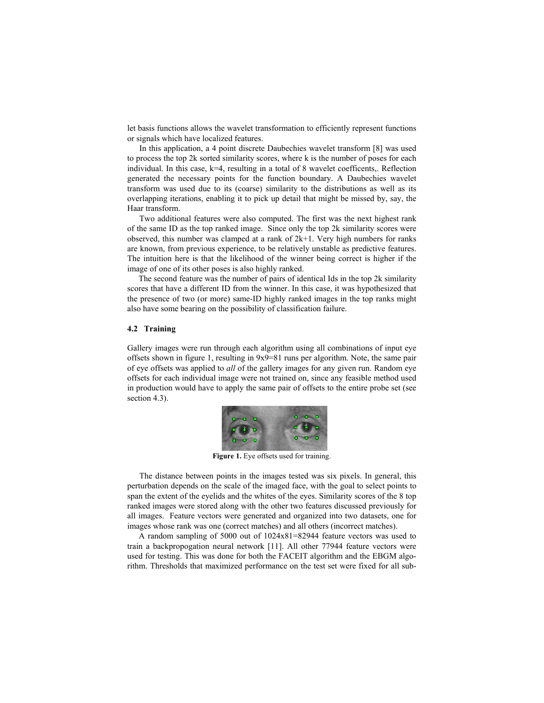let basis functions allows the wavelet transformation to efficiently represent functions or signals which have localized features.

In this application, a 4 point discrete Daubechies wavelet transform [8] was used to process the top 2k sorted similarity scores, where k is the number of poses for each individual. In this case, k=4, resulting in a total of 8 wavelet coefficents,. Reflection generated the necessary points for the function boundary. A Daubechies wavelet transform was used due to its (coarse) similarity to the distributions as well as its overlapping iterations, enabling it to pick up detail that might be missed by, say, the Haar transform.

Two additional features were also computed. The first was the next highest rank of the same ID as the top ranked image. Since only the top 2k similarity scores were observed, this number was clamped at a rank of  $2k+1$ . Very high numbers for ranks are known, from previous experience, to be relatively unstable as predictive features. The intuition here is that the likelihood of the winner being correct is higher if the image of one of its other poses is also highly ranked.

The second feature was the number of pairs of identical Ids in the top 2k similarity scores that have a different ID from the winner. In this case, it was hypothesized that the presence of two (or more) same-ID highly ranked images in the top ranks might also have some bearing on the possibility of classification failure.

#### **4.2 Training**

Gallery images were run through each algorithm using all combinations of input eye offsets shown in figure 1, resulting in 9x9=81 runs per algorithm. Note, the same pair of eye offsets was applied to *all* of the gallery images for any given run. Random eye offsets for each individual image were not trained on, since any feasible method used in production would have to apply the same pair of offsets to the entire probe set (see section 4.3).



**Figure 1.** Eye offsets used for training.

The distance between points in the images tested was six pixels. In general, this perturbation depends on the scale of the imaged face, with the goal to select points to span the extent of the eyelids and the whites of the eyes. Similarity scores of the 8 top ranked images were stored along with the other two features discussed previously for all images. Feature vectors were generated and organized into two datasets, one for images whose rank was one (correct matches) and all others (incorrect matches).

A random sampling of 5000 out of 1024x81=82944 feature vectors was used to train a backpropogation neural network [11]. All other 77944 feature vectors were used for testing. This was done for both the FACEIT algorithm and the EBGM algorithm. Thresholds that maximized performance on the test set were fixed for all sub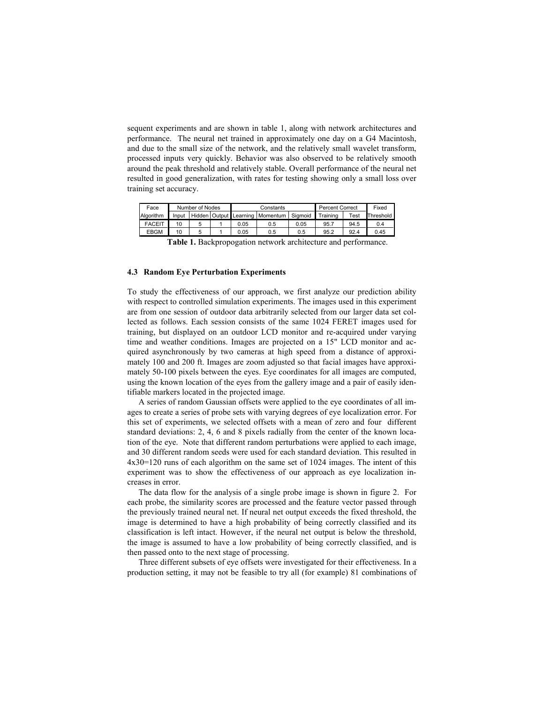sequent experiments and are shown in table 1, along with network architectures and performance. The neural net trained in approximately one day on a G4 Macintosh, and due to the small size of the network, and the relatively small wavelet transform, processed inputs very quickly. Behavior was also observed to be relatively smooth around the peak threshold and relatively stable. Overall performance of the neural net resulted in good generalization, with rates for testing showing only a small loss over training set accuracy.

| Face          | Number of Nodes |  |  | Constants |                                                         |      | <b>Percent Correct</b> |      | Fixed     |
|---------------|-----------------|--|--|-----------|---------------------------------------------------------|------|------------------------|------|-----------|
| Algorithm     |                 |  |  |           | Input   Hidden   Output   Learning   Momentum   Sigmoid |      | Training               | Test | Threshold |
| <b>FACEIT</b> | 10              |  |  | 0.05      | 0.5                                                     | 0.05 | 95.7                   | 94.5 | 0.4       |
| <b>EBGM</b>   | 10              |  |  | 0.05      | 0.5                                                     | 0.5  | 95.2                   | 92.4 | 0.45      |

**Table 1.** Backpropogation network architecture and performance.

#### **4.3 Random Eye Perturbation Experiments**

To study the effectiveness of our approach, we first analyze our prediction ability with respect to controlled simulation experiments. The images used in this experiment are from one session of outdoor data arbitrarily selected from our larger data set collected as follows. Each session consists of the same 1024 FERET images used for training, but displayed on an outdoor LCD monitor and re-acquired under varying time and weather conditions. Images are projected on a 15" LCD monitor and acquired asynchronously by two cameras at high speed from a distance of approximately 100 and 200 ft. Images are zoom adjusted so that facial images have approximately 50-100 pixels between the eyes. Eye coordinates for all images are computed, using the known location of the eyes from the gallery image and a pair of easily identifiable markers located in the projected image.

A series of random Gaussian offsets were applied to the eye coordinates of all images to create a series of probe sets with varying degrees of eye localization error. For this set of experiments, we selected offsets with a mean of zero and four different standard deviations: 2, 4, 6 and 8 pixels radially from the center of the known location of the eye. Note that different random perturbations were applied to each image, and 30 different random seeds were used for each standard deviation. This resulted in 4x30=120 runs of each algorithm on the same set of 1024 images. The intent of this experiment was to show the effectiveness of our approach as eye localization increases in error.

The data flow for the analysis of a single probe image is shown in figure 2. For each probe, the similarity scores are processed and the feature vector passed through the previously trained neural net. If neural net output exceeds the fixed threshold, the image is determined to have a high probability of being correctly classified and its classification is left intact. However, if the neural net output is below the threshold, the image is assumed to have a low probability of being correctly classified, and is then passed onto to the next stage of processing.

Three different subsets of eye offsets were investigated for their effectiveness. In a production setting, it may not be feasible to try all (for example) 81 combinations of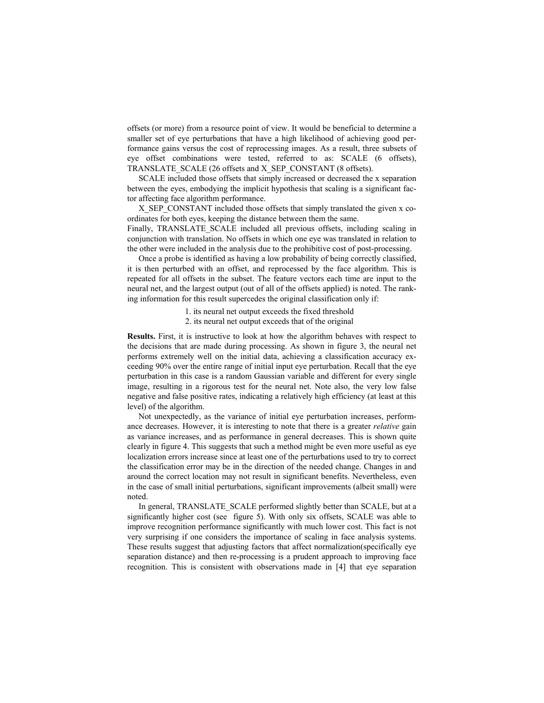offsets (or more) from a resource point of view. It would be beneficial to determine a smaller set of eye perturbations that have a high likelihood of achieving good performance gains versus the cost of reprocessing images. As a result, three subsets of eye offset combinations were tested, referred to as: SCALE (6 offsets), TRANSLATE\_SCALE (26 offsets and X\_SEP\_CONSTANT (8 offsets).

SCALE included those offsets that simply increased or decreased the x separation between the eyes, embodying the implicit hypothesis that scaling is a significant factor affecting face algorithm performance.

X SEP CONSTANT included those offsets that simply translated the given x coordinates for both eyes, keeping the distance between them the same.

Finally, TRANSLATE SCALE included all previous offsets, including scaling in conjunction with translation. No offsets in which one eye was translated in relation to the other were included in the analysis due to the prohibitive cost of post-processing.

Once a probe is identified as having a low probability of being correctly classified, it is then perturbed with an offset, and reprocessed by the face algorithm. This is repeated for all offsets in the subset. The feature vectors each time are input to the neural net, and the largest output (out of all of the offsets applied) is noted. The ranking information for this result supercedes the original classification only if:

- 1. its neural net output exceeds the fixed threshold
- 2. its neural net output exceeds that of the original

**Results.** First, it is instructive to look at how the algorithm behaves with respect to the decisions that are made during processing. As shown in figure 3, the neural net performs extremely well on the initial data, achieving a classification accuracy exceeding 90% over the entire range of initial input eye perturbation. Recall that the eye perturbation in this case is a random Gaussian variable and different for every single image, resulting in a rigorous test for the neural net. Note also, the very low false negative and false positive rates, indicating a relatively high efficiency (at least at this level) of the algorithm.

Not unexpectedly, as the variance of initial eye perturbation increases, performance decreases. However, it is interesting to note that there is a greater *relative* gain as variance increases, and as performance in general decreases. This is shown quite clearly in figure 4. This suggests that such a method might be even more useful as eye localization errors increase since at least one of the perturbations used to try to correct the classification error may be in the direction of the needed change. Changes in and around the correct location may not result in significant benefits. Nevertheless, even in the case of small initial perturbations, significant improvements (albeit small) were noted.

In general, TRANSLATE\_SCALE performed slightly better than SCALE, but at a significantly higher cost (see figure 5). With only six offsets, SCALE was able to improve recognition performance significantly with much lower cost. This fact is not very surprising if one considers the importance of scaling in face analysis systems. These results suggest that adjusting factors that affect normalization(specifically eye separation distance) and then re-processing is a prudent approach to improving face recognition. This is consistent with observations made in [4] that eye separation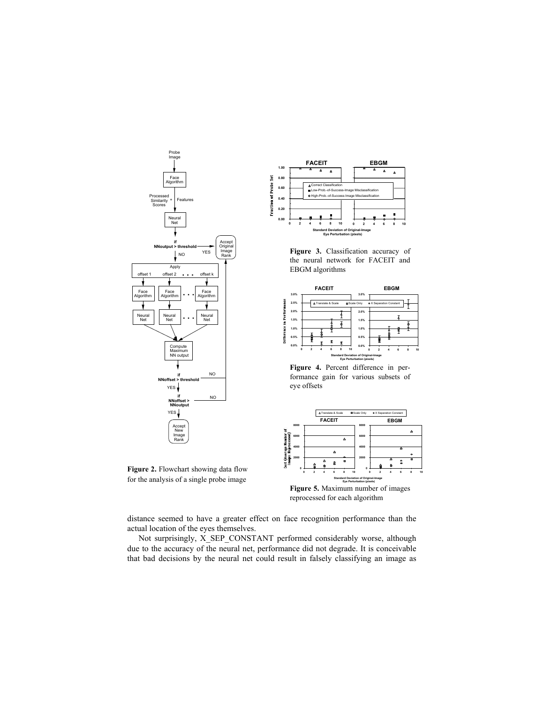

Figure 2. Flowchart showing data flow for the analysis of a single probe image



**Figure 3.** Classification accuracy of the neural network for FACEIT and EBGM algorithms



**Figure 4.** Percent difference in performance gain for various subsets of eye offsets



**Figure 5.** Maximum number of images reprocessed for each algorithm

distance seemed to have a greater effect on face recognition performance than the actual location of the eyes themselves.

Not surprisingly, X\_SEP\_CONSTANT performed considerably worse, although due to the accuracy of the neural net, performance did not degrade. It is conceivable that bad decisions by the neural net could result in falsely classifying an image as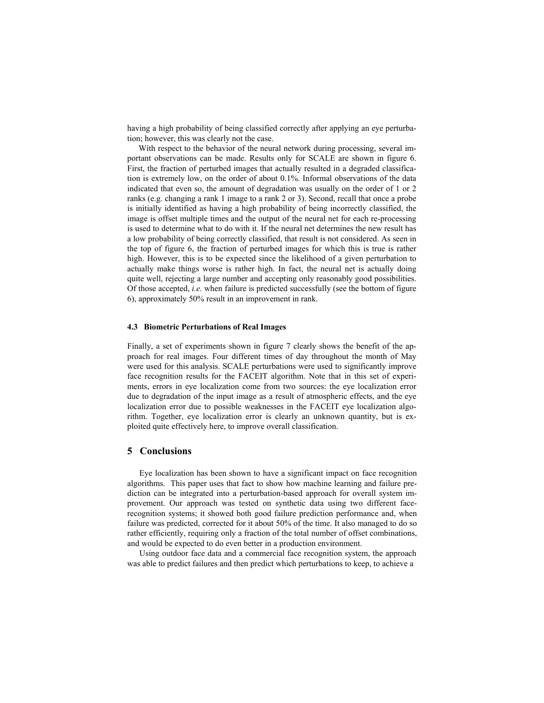having a high probability of being classified correctly after applying an eye perturbation; however, this was clearly not the case.

With respect to the behavior of the neural network during processing, several important observations can be made. Results only for SCALE are shown in figure 6. First, the fraction of perturbed images that actually resulted in a degraded classification is extremely low, on the order of about 0.1%. Informal observations of the data indicated that even so, the amount of degradation was usually on the order of 1 or 2 ranks (e.g. changing a rank 1 image to a rank 2 or 3). Second, recall that once a probe is initially identified as having a high probability of being incorrectly classified, the image is offset multiple times and the output of the neural net for each re-processing is used to determine what to do with it. If the neural net determines the new result has a low probability of being correctly classified, that result is not considered. As seen in the top of figure 6, the fraction of perturbed images for which this is true is rather high. However, this is to be expected since the likelihood of a given perturbation to actually make things worse is rather high. In fact, the neural net is actually doing quite well, rejecting a large number and accepting only reasonably good possibilities. Of those accepted, *i.e.* when failure is predicted successfully (see the bottom of figure 6), approximately 50% result in an improvement in rank.

#### **4.3 Biometric Perturbations of Real Images**

Finally, a set of experiments shown in figure 7 clearly shows the benefit of the approach for real images. Four different times of day throughout the month of May were used for this analysis. SCALE perturbations were used to significantly improve face recognition results for the FACEIT algorithm. Note that in this set of experiments, errors in eye localization come from two sources: the eye localization error due to degradation of the input image as a result of atmospheric effects, and the eye localization error due to possible weaknesses in the FACEIT eye localization algorithm. Together, eye localization error is clearly an unknown quantity, but is exploited quite effectively here, to improve overall classification.

### **5 Conclusions**

Eye localization has been shown to have a significant impact on face recognition algorithms. This paper uses that fact to show how machine learning and failure prediction can be integrated into a perturbation-based approach for overall system improvement. Our approach was tested on synthetic data using two different facerecognition systems; it showed both good failure prediction performance and, when failure was predicted, corrected for it about 50% of the time. It also managed to do so rather efficiently, requiring only a fraction of the total number of offset combinations, and would be expected to do even better in a production environment.

Using outdoor face data and a commercial face recognition system, the approach was able to predict failures and then predict which perturbations to keep, to achieve a